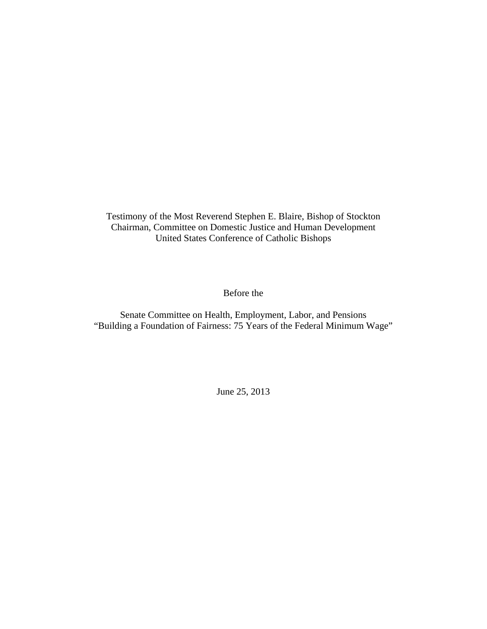Testimony of the Most Reverend Stephen E. Blaire, Bishop of Stockton Chairman, Committee on Domestic Justice and Human Development United States Conference of Catholic Bishops

Before the

Senate Committee on Health, Employment, Labor, and Pensions "Building a Foundation of Fairness: 75 Years of the Federal Minimum Wage"

June 25, 2013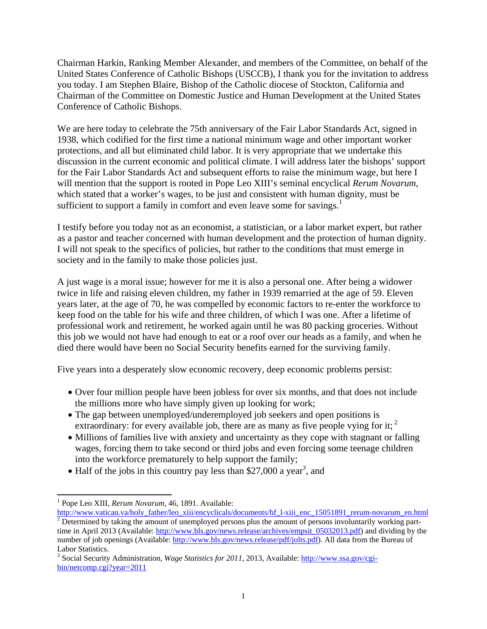Chairman Harkin, Ranking Member Alexander, and members of the Committee, on behalf of the United States Conference of Catholic Bishops (USCCB), I thank you for the invitation to address you today. I am Stephen Blaire, Bishop of the Catholic diocese of Stockton, California and Chairman of the Committee on Domestic Justice and Human Development at the United States Conference of Catholic Bishops.

We are here today to celebrate the 75th anniversary of the Fair Labor Standards Act, signed in 1938, which codified for the first time a national minimum wage and other important worker protections, and all but eliminated child labor. It is very appropriate that we undertake this discussion in the current economic and political climate. I will address later the bishops' support for the Fair Labor Standards Act and subsequent efforts to raise the minimum wage, but here I will mention that the support is rooted in Pope Leo XIII's seminal encyclical *Rerum Novarum*, which stated that a worker's wages, to be just and consistent with human dignity, must be sufficient to support a family in comfort and even leave some for savings.<sup>1</sup>

I testify before you today not as an economist, a statistician, or a labor market expert, but rather as a pastor and teacher concerned with human development and the protection of human dignity. I will not speak to the specifics of policies, but rather to the conditions that must emerge in society and in the family to make those policies just.

A just wage is a moral issue; however for me it is also a personal one. After being a widower twice in life and raising eleven children, my father in 1939 remarried at the age of 59. Eleven years later, at the age of 70, he was compelled by economic factors to re-enter the workforce to keep food on the table for his wife and three children, of which I was one. After a lifetime of professional work and retirement, he worked again until he was 80 packing groceries. Without this job we would not have had enough to eat or a roof over our heads as a family, and when he died there would have been no Social Security benefits earned for the surviving family.

Five years into a desperately slow economic recovery, deep economic problems persist:

- Over four million people have been jobless for over six months, and that does not include the millions more who have simply given up looking for work;
- The gap between unemployed/underemployed job seekers and open positions is extraordinary: for every available job, there are as many as five people vying for it;  $2^{\circ}$
- Millions of families live with anxiety and uncertainty as they cope with stagnant or falling wages, forcing them to take second or third jobs and even forcing some teenage children into the workforce prematurely to help support the family;
- $\bullet$  Half of the jobs in this country pay less than \$27,000 a year<sup>3</sup>, and

 <sup>1</sup> Pope Leo XIII, *Rerum Novarum*, 46, 1891. Available:

http://www.vatican.va/holy\_father/leo\_xiii/encyclicals/documents/hf\_l-xiii\_enc\_15051891\_rerum-novarum\_en.html  $2^{2}$  Determined by taking the amount of unemployed persons plus the amount of persons involuntarily working parttime in April 2013 (Available: http://www.bls.gov/news.release/archives/empsit\_05032013.pdf) and dividing by the number of job openings (Available: http://www.bls.gov/news.release/pdf/jolts.pdf). All data from the Bureau of Labor Statistics.

<sup>&</sup>lt;sup>3</sup> Social Security Administration, *Wage Statistics for 2011*, 2013, Available: http://www.ssa.gov/cgibin/netcomp.cgi?year=2011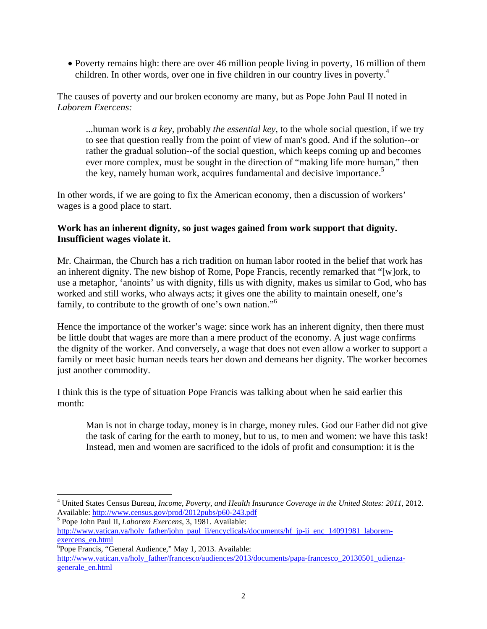Poverty remains high: there are over 46 million people living in poverty, 16 million of them children. In other words, over one in five children in our country lives in poverty.<sup>4</sup>

The causes of poverty and our broken economy are many, but as Pope John Paul II noted in *Laborem Exercens:* 

...human work is *a key,* probably *the essential key,* to the whole social question, if we try to see that question really from the point of view of man's good. And if the solution--or rather the gradual solution--of the social question, which keeps coming up and becomes ever more complex, must be sought in the direction of "making life more human," then the key, namely human work, acquires fundamental and decisive importance.<sup>5</sup>

In other words, if we are going to fix the American economy, then a discussion of workers' wages is a good place to start.

## **Work has an inherent dignity, so just wages gained from work support that dignity. Insufficient wages violate it.**

Mr. Chairman, the Church has a rich tradition on human labor rooted in the belief that work has an inherent dignity. The new bishop of Rome, Pope Francis, recently remarked that "[w]ork, to use a metaphor, 'anoints' us with dignity, fills us with dignity, makes us similar to God, who has worked and still works, who always acts; it gives one the ability to maintain oneself, one's family, to contribute to the growth of one's own nation."6

Hence the importance of the worker's wage: since work has an inherent dignity, then there must be little doubt that wages are more than a mere product of the economy. A just wage confirms the dignity of the worker. And conversely, a wage that does not even allow a worker to support a family or meet basic human needs tears her down and demeans her dignity. The worker becomes just another commodity.

I think this is the type of situation Pope Francis was talking about when he said earlier this month:

Man is not in charge today, money is in charge, money rules. God our Father did not give the task of caring for the earth to money, but to us, to men and women: we have this task! Instead, men and women are sacrificed to the idols of profit and consumption: it is the

 <sup>4</sup> United States Census Bureau, *Income, Poverty, and Health Insurance Coverage in the United States: 2011*, 2012. Available: http://www.census.gov/prod/2012pubs/p60-243.pdf

Pope John Paul II, *Laborem Exercens*, 3, 1981. Available: http://www.vatican.va/holy\_father/john\_paul\_ii/encyclicals/documents/hf\_jp-ii\_enc\_14091981\_laboremexercens\_en.html

<sup>&</sup>lt;sup>6</sup>Pope Francis, "General Audience," May 1, 2013. Available: http://www.vatican.va/holy\_father/francesco/audiences/2013/documents/papa-francesco\_20130501\_udienzagenerale\_en.html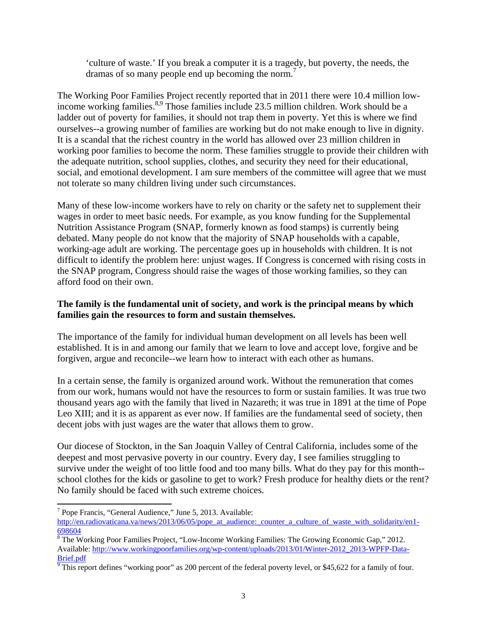'culture of waste.' If you break a computer it is a tragedy, but poverty, the needs, the dramas of so many people end up becoming the norm.<sup>7</sup>

The Working Poor Families Project recently reported that in 2011 there were 10.4 million lowincome working families.<sup>8,9</sup> Those families include 23.5 million children. Work should be a ladder out of poverty for families, it should not trap them in poverty. Yet this is where we find ourselves--a growing number of families are working but do not make enough to live in dignity. It is a scandal that the richest country in the world has allowed over 23 million children in working poor families to become the norm. These families struggle to provide their children with the adequate nutrition, school supplies, clothes, and security they need for their educational, social, and emotional development. I am sure members of the committee will agree that we must not tolerate so many children living under such circumstances.

Many of these low-income workers have to rely on charity or the safety net to supplement their wages in order to meet basic needs. For example, as you know funding for the Supplemental Nutrition Assistance Program (SNAP, formerly known as food stamps) is currently being debated. Many people do not know that the majority of SNAP households with a capable, working-age adult are working. The percentage goes up in households with children. It is not difficult to identify the problem here: unjust wages. If Congress is concerned with rising costs in the SNAP program, Congress should raise the wages of those working families, so they can afford food on their own.

## **The family is the fundamental unit of society, and work is the principal means by which families gain the resources to form and sustain themselves.**

The importance of the family for individual human development on all levels has been well established. It is in and among our family that we learn to love and accept love, forgive and be forgiven, argue and reconcile--we learn how to interact with each other as humans.

In a certain sense, the family is organized around work. Without the remuneration that comes from our work, humans would not have the resources to form or sustain families. It was true two thousand years ago with the family that lived in Nazareth; it was true in 1891 at the time of Pope Leo XIII; and it is as apparent as ever now. If families are the fundamental seed of society, then decent jobs with just wages are the water that allows them to grow.

Our diocese of Stockton, in the San Joaquin Valley of Central California, includes some of the deepest and most pervasive poverty in our country. Every day, I see families struggling to survive under the weight of too little food and too many bills. What do they pay for this month- school clothes for the kids or gasoline to get to work? Fresh produce for healthy diets or the rent? No family should be faced with such extreme choices.

 <sup>7</sup> Pope Francis, "General Audience," June 5, 2013. Available:

http://en.radiovaticana.va/news/2013/06/05/pope\_at\_audience:\_counter\_a\_culture\_of\_waste\_with\_solidarity/en1-698604

<sup>&</sup>lt;sup>8</sup> The Working Poor Families Project, "Low-Income Working Families: The Growing Economic Gap," 2012. Available: http://www.workingpoorfamilies.org/wp-content/uploads/2013/01/Winter-2012\_2013-WPFP-Data-

Brief.pdf<br><sup>9</sup> This report defines "working poor" as 200 percent of the federal poverty level, or \$45,622 for a family of four.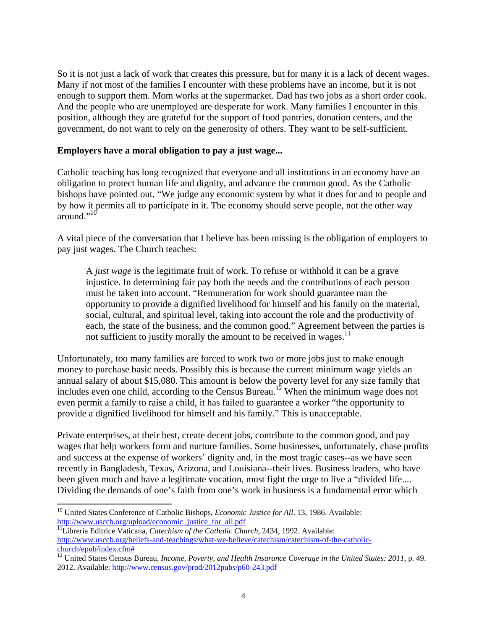So it is not just a lack of work that creates this pressure, but for many it is a lack of decent wages. Many if not most of the families I encounter with these problems have an income, but it is not enough to support them. Mom works at the supermarket. Dad has two jobs as a short order cook. And the people who are unemployed are desperate for work. Many families I encounter in this position, although they are grateful for the support of food pantries, donation centers, and the government, do not want to rely on the generosity of others. They want to be self-sufficient.

#### **Employers have a moral obligation to pay a just wage...**

Catholic teaching has long recognized that everyone and all institutions in an economy have an obligation to protect human life and dignity, and advance the common good. As the Catholic bishops have pointed out, "We judge any economic system by what it does for and to people and by how it permits all to participate in it. The economy should serve people, not the other way around."<sup>10</sup>

A vital piece of the conversation that I believe has been missing is the obligation of employers to pay just wages. The Church teaches:

A *just wage* is the legitimate fruit of work. To refuse or withhold it can be a grave injustice. In determining fair pay both the needs and the contributions of each person must be taken into account. "Remuneration for work should guarantee man the opportunity to provide a dignified livelihood for himself and his family on the material, social, cultural, and spiritual level, taking into account the role and the productivity of each, the state of the business, and the common good." Agreement between the parties is not sufficient to justify morally the amount to be received in wages.<sup>11</sup>

Unfortunately, too many families are forced to work two or more jobs just to make enough money to purchase basic needs. Possibly this is because the current minimum wage yields an annual salary of about \$15,080. This amount is below the poverty level for any size family that includes even one child, according to the Census Bureau.<sup>12</sup> When the minimum wage does not even permit a family to raise a child, it has failed to guarantee a worker "the opportunity to provide a dignified livelihood for himself and his family." This is unacceptable.

Private enterprises, at their best, create decent jobs, contribute to the common good, and pay wages that help workers form and nurture families. Some businesses, unfortunately, chase profits and success at the expense of workers' dignity and, in the most tragic cases--as we have seen recently in Bangladesh, Texas, Arizona, and Louisiana--their lives. Business leaders, who have been given much and have a legitimate vocation, must fight the urge to live a "divided life.... Dividing the demands of one's faith from one's work in business is a fundamental error which

<sup>&</sup>lt;sup>10</sup> United States Conference of Catholic Bishops, *Economic Justice for All*, 13, 1986. Available:<br>http://www.usccb.org/upload/economic justice for all.pdf

<sup>&</sup>lt;sup>11</sup>Libreria Editrice Vaticana, *Catechism of the Catholic Church*, 2434, 1992. Available: http://www.usccb.org/beliefs-and-teachings/what-we-believe/catechism/catechism-of-the-catholicchurch/epub/index.cfm#

<sup>&</sup>lt;sup>12</sup> United States Census Bureau, *Income, Poverty, and Health Insurance Coverage in the United States: 2011*, p. 49. 2012. Available: http://www.census.gov/prod/2012pubs/p60-243.pdf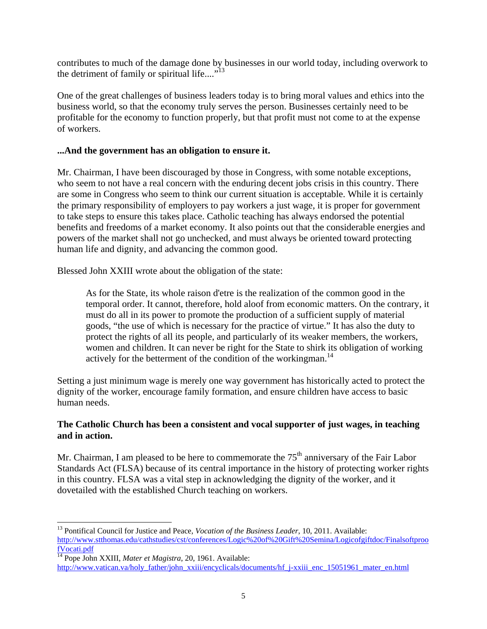contributes to much of the damage done by businesses in our world today, including overwork to the detriment of family or spiritual life.... $"$ <sup>13</sup>

One of the great challenges of business leaders today is to bring moral values and ethics into the business world, so that the economy truly serves the person. Businesses certainly need to be profitable for the economy to function properly, but that profit must not come to at the expense of workers.

## **...And the government has an obligation to ensure it.**

Mr. Chairman, I have been discouraged by those in Congress, with some notable exceptions, who seem to not have a real concern with the enduring decent jobs crisis in this country. There are some in Congress who seem to think our current situation is acceptable. While it is certainly the primary responsibility of employers to pay workers a just wage, it is proper for government to take steps to ensure this takes place. Catholic teaching has always endorsed the potential benefits and freedoms of a market economy. It also points out that the considerable energies and powers of the market shall not go unchecked, and must always be oriented toward protecting human life and dignity, and advancing the common good.

Blessed John XXIII wrote about the obligation of the state:

As for the State, its whole raison d'etre is the realization of the common good in the temporal order. It cannot, therefore, hold aloof from economic matters. On the contrary, it must do all in its power to promote the production of a sufficient supply of material goods, "the use of which is necessary for the practice of virtue." It has also the duty to protect the rights of all its people, and particularly of its weaker members, the workers, women and children. It can never be right for the State to shirk its obligation of working actively for the betterment of the condition of the workingman.<sup>14</sup>

Setting a just minimum wage is merely one way government has historically acted to protect the dignity of the worker, encourage family formation, and ensure children have access to basic human needs.

## **The Catholic Church has been a consistent and vocal supporter of just wages, in teaching and in action.**

Mr. Chairman, I am pleased to be here to commemorate the  $75<sup>th</sup>$  anniversary of the Fair Labor Standards Act (FLSA) because of its central importance in the history of protecting worker rights in this country. FLSA was a vital step in acknowledging the dignity of the worker, and it dovetailed with the established Church teaching on workers.

<sup>&</sup>lt;sup>13</sup> Pontifical Council for Justice and Peace, *Vocation of the Business Leader*, 10, 2011. Available: http://www.stthomas.edu/cathstudies/cst/conferences/Logic%20of%20Gift%20Semina/Logicofgiftdoc/Finalsoftproo fVocati.pdf 14 Pope John XXIII, *Mater et Magistra*, 20, 1961. Available:

http://www.vatican.va/holy\_father/john\_xxiii/encyclicals/documents/hf\_j-xxiii\_enc\_15051961\_mater\_en.html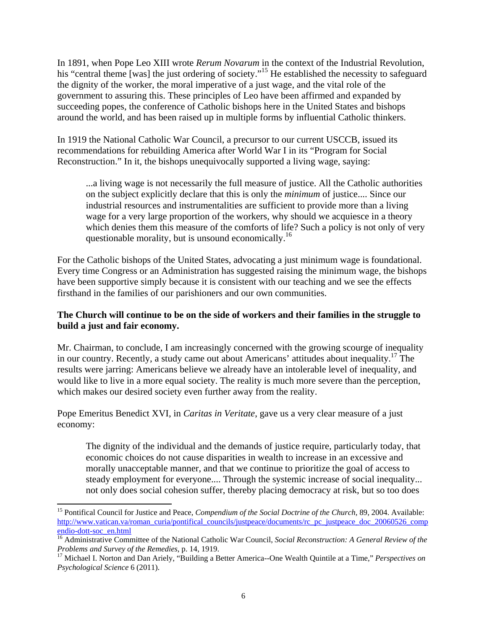In 1891, when Pope Leo XIII wrote *Rerum Novarum* in the context of the Industrial Revolution, his "central theme [was] the just ordering of society."<sup>15</sup> He established the necessity to safeguard the dignity of the worker, the moral imperative of a just wage, and the vital role of the government to assuring this. These principles of Leo have been affirmed and expanded by succeeding popes, the conference of Catholic bishops here in the United States and bishops around the world, and has been raised up in multiple forms by influential Catholic thinkers.

In 1919 the National Catholic War Council, a precursor to our current USCCB, issued its recommendations for rebuilding America after World War I in its "Program for Social Reconstruction." In it, the bishops unequivocally supported a living wage, saying:

...a living wage is not necessarily the full measure of justice. All the Catholic authorities on the subject explicitly declare that this is only the *minimum* of justice.... Since our industrial resources and instrumentalities are sufficient to provide more than a living wage for a very large proportion of the workers, why should we acquiesce in a theory which denies them this measure of the comforts of life? Such a policy is not only of very questionable morality, but is unsound economically.<sup>16</sup>

For the Catholic bishops of the United States, advocating a just minimum wage is foundational. Every time Congress or an Administration has suggested raising the minimum wage, the bishops have been supportive simply because it is consistent with our teaching and we see the effects firsthand in the families of our parishioners and our own communities.

# **The Church will continue to be on the side of workers and their families in the struggle to build a just and fair economy.**

Mr. Chairman, to conclude, I am increasingly concerned with the growing scourge of inequality in our country. Recently, a study came out about Americans' attitudes about inequality.<sup>17</sup> The results were jarring: Americans believe we already have an intolerable level of inequality, and would like to live in a more equal society. The reality is much more severe than the perception, which makes our desired society even further away from the reality.

Pope Emeritus Benedict XVI, in *Caritas in Veritate*, gave us a very clear measure of a just economy:

The dignity of the individual and the demands of justice require, particularly today, that economic choices do not cause disparities in wealth to increase in an excessive and morally unacceptable manner, and that we continue to prioritize the goal of access to steady employment for everyone.... Through the systemic increase of social inequality... not only does social cohesion suffer, thereby placing democracy at risk, but so too does

<sup>&</sup>lt;sup>15</sup> Pontifical Council for Justice and Peace, *Compendium of the Social Doctrine of the Church*, 89, 2004. Available: http://www.vatican.va/roman\_curia/pontifical\_councils/justpeace/documents/rc\_pc\_justpeace\_doc\_20060526\_comp

endio-dott-soc\_en.html<br><sup>16</sup> Administrative Committee of the National Catholic War Council, *Social Reconstruction: A General Review of the*<br>*Problems and Survey of the Remedies*, p. 14, 1919.

<sup>&</sup>lt;sup>17</sup> Michael I. Norton and Dan Ariely, "Building a Better America--One Wealth Quintile at a Time," *Perspectives on Psychological Science* 6 (2011).